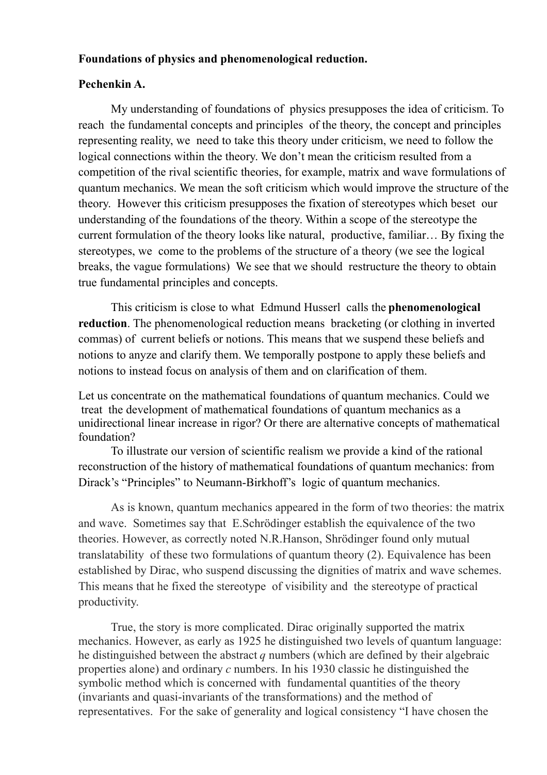## **Foundations of physics and phenomenological reduction.**

## **Pechenkin A.**

My understanding of foundations of physics presupposes the idea of criticism. To reach the fundamental concepts and principles of the theory, the concept and principles representing reality, we need to take this theory under criticism, we need to follow the logical connections within the theory. We don't mean the criticism resulted from a competition of the rival scientific theories, for example, matrix and wave formulations of quantum mechanics. We mean the soft criticism which would improve the structure of the theory. However this criticism presupposes the fixation of stereotypes which beset our understanding of the foundations of the theory. Within a scope of the stereotype the current formulation of the theory looks like natural, productive, familiar… By fixing the stereotypes, we come to the problems of the structure of a theory (we see the logical breaks, the vague formulations) We see that we should restructure the theory to obtain true fundamental principles and concepts.

This criticism is close to what Edmund Husserl calls the **phenomenological reduction**. The phenomenological reduction means bracketing (or clothing in inverted commas) of current beliefs or notions. This means that we suspend these beliefs and notions to anyze and clarify them. We temporally postpone to apply these beliefs and notions to instead focus on analysis of them and on clarification of them.

Let us concentrate on the mathematical foundations of quantum mechanics. Could we treat the development of mathematical foundations of quantum mechanics as a unidirectional linear increase in rigor? Or there are alternative concepts of mathematical foundation?

To illustrate our version of scientific realism we provide a kind of the rational reconstruction of the history of mathematical foundations of quantum mechanics: from Dirack's "Principles" to Neumann-Birkhoff's logic of quantum mechanics.

As is known, quantum mechanics appeared in the form of two theories: the matrix and wave. Sometimes say that E.Schrödinger establish the equivalence of the two theories. However, as correctly noted N.R.Hanson, Shrödinger found only mutual translatability of these two formulations of quantum theory (2). Equivalence has been established by Dirac, who suspend discussing the dignities of matrix and wave schemes. This means that he fixed the stereotype of visibility and the stereotype of practical productivity.

True, the story is more complicated. Dirac originally supported the matrix mechanics. However, as early as 1925 he distinguished two levels of quantum language: he distinguished between the abstract *q* numbers (which are defined by their algebraic properties alone) and ordinary *c* numbers. In his 1930 classic he distinguished the symbolic method which is concerned with fundamental quantities of the theory (invariants and quasi-invariants of the transformations) and the method of representatives. For the sake of generality and logical consistency "I have chosen the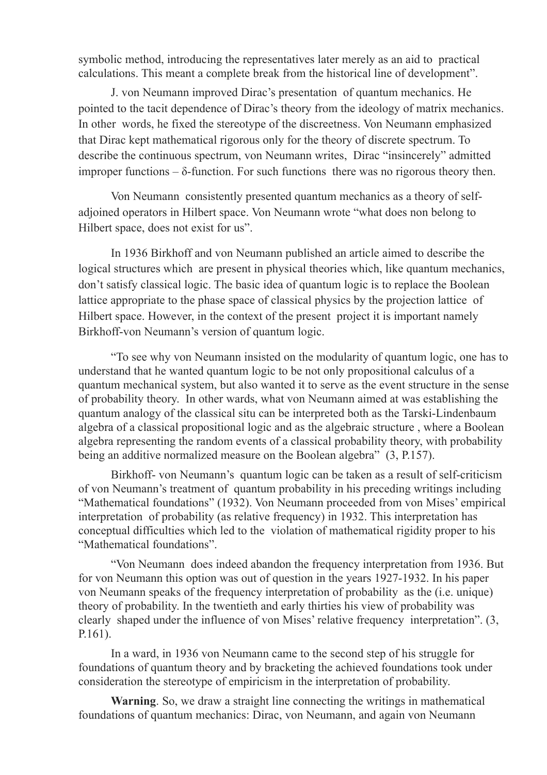symbolic method, introducing the representatives later merely as an aid to practical calculations. This meant a complete break from the historical line of development".

J. von Neumann improved Dirac's presentation of quantum mechanics. He pointed to the tacit dependence of Dirac's theory from the ideology of matrix mechanics. In other words, he fixed the stereotype of the discreetness. Von Neumann emphasized that Dirac kept mathematical rigorous only for the theory of discrete spectrum. To describe the continuous spectrum, von Neumann writes, Dirac "insincerely" admitted improper functions – δ-function. For such functions there was no rigorous theory then.

Von Neumann consistently presented quantum mechanics as a theory of selfadjoined operators in Hilbert space. Von Neumann wrote "what does non belong to Hilbert space, does not exist for us".

In 1936 Birkhoff and von Neumann published an article aimed to describe the logical structures which are present in physical theories which, like quantum mechanics, don't satisfy classical logic. The basic idea of quantum logic is to replace the Boolean lattice appropriate to the phase space of classical physics by the projection lattice of Hilbert space. However, in the context of the present project it is important namely Birkhoff-von Neumann's version of quantum logic.

"To see why von Neumann insisted on the modularity of quantum logic, one has to understand that he wanted quantum logic to be not only propositional calculus of a quantum mechanical system, but also wanted it to serve as the event structure in the sense of probability theory. In other wards, what von Neumann aimed at was establishing the quantum analogy of the classical situ can be interpreted both as the Tarski-Lindenbaum algebra of a classical propositional logic and as the algebraic structure , where a Boolean algebra representing the random events of a classical probability theory, with probability being an additive normalized measure on the Boolean algebra" (3, P.157).

Birkhoff- von Neumann's quantum logic can be taken as a result of self-criticism of von Neumann's treatment of quantum probability in his preceding writings including "Mathematical foundations" (1932). Von Neumann proceeded from von Mises' empirical interpretation of probability (as relative frequency) in 1932. This interpretation has conceptual difficulties which led to the violation of mathematical rigidity proper to his "Mathematical foundations".

"Von Neumann does indeed abandon the frequency interpretation from 1936. But for von Neumann this option was out of question in the years 1927-1932. In his paper von Neumann speaks of the frequency interpretation of probability as the (i.e. unique) theory of probability. In the twentieth and early thirties his view of probability was clearly shaped under the influence of von Mises' relative frequency interpretation". (3, P.161).

In a ward, in 1936 von Neumann came to the second step of his struggle for foundations of quantum theory and by bracketing the achieved foundations took under consideration the stereotype of empiricism in the interpretation of probability.

**Warning**. So, we draw a straight line connecting the writings in mathematical foundations of quantum mechanics: Dirac, von Neumann, and again von Neumann